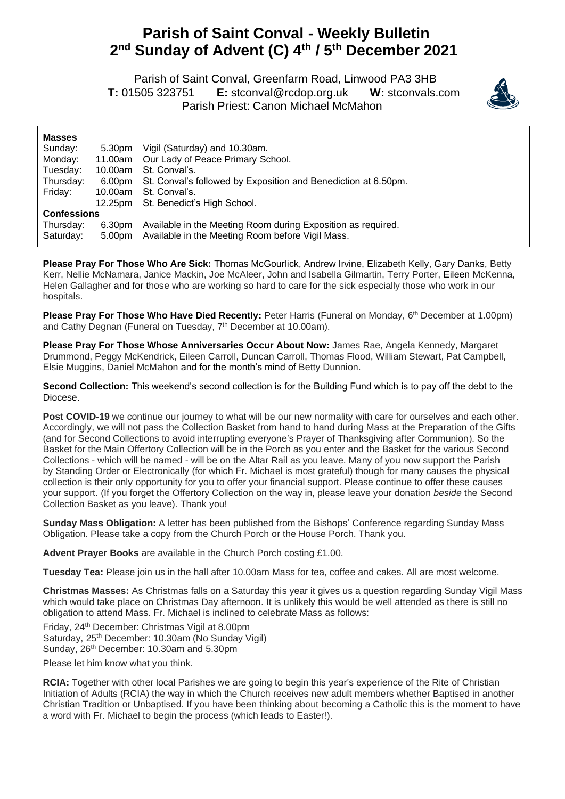## **Parish of Saint Conval - Weekly Bulletin 2 nd Sunday of Advent (C) 4 th / 5 th December 2021**

 Parish of Saint Conval, Greenfarm Road, Linwood PA3 3HB **T:** 01505 323751 **E:** [stconval@rcdop.org.uk](mailto:stconval@rcdop.org.uk) **W:** stconvals.com Parish Priest: Canon Michael McMahon



| <b>Masses</b>      |         |                                                                |
|--------------------|---------|----------------------------------------------------------------|
| Sunday:            | 5.30pm  | Vigil (Saturday) and 10.30am.                                  |
| Monday:            | 11.00am | Our Lady of Peace Primary School.                              |
| Tuesday:           | 10.00am | St. Conval's.                                                  |
| Thursday:          | 6.00pm  | St. Conval's followed by Exposition and Benediction at 6.50pm. |
| Friday:            | 10.00am | St. Conval's.                                                  |
|                    | 12.25pm | St. Benedict's High School.                                    |
| <b>Confessions</b> |         |                                                                |
| Thursday:          | 6.30pm  | Available in the Meeting Room during Exposition as required.   |
| Saturday:          | 5.00pm  | Available in the Meeting Room before Vigil Mass.               |

**Please Pray For Those Who Are Sick:** Thomas McGourlick, Andrew Irvine, Elizabeth Kelly, Gary Danks, Betty Kerr, Nellie McNamara, Janice Mackin, Joe McAleer, John and Isabella Gilmartin, Terry Porter, Eileen McKenna, Helen Gallagher and for those who are working so hard to care for the sick especially those who work in our hospitals.

**Please Pray For Those Who Have Died Recently:** Peter Harris (Funeral on Monday, 6 th December at 1.00pm) and Cathy Degnan (Funeral on Tuesday, 7<sup>th</sup> December at 10.00am).

**Please Pray For Those Whose Anniversaries Occur About Now:** James Rae, Angela Kennedy, Margaret Drummond, Peggy McKendrick, Eileen Carroll, Duncan Carroll, Thomas Flood, William Stewart, Pat Campbell, Elsie Muggins, Daniel McMahon and for the month's mind of Betty Dunnion.

**Second Collection:** This weekend's second collection is for the Building Fund which is to pay off the debt to the Diocese.

Post COVID-19 we continue our journey to what will be our new normality with care for ourselves and each other. Accordingly, we will not pass the Collection Basket from hand to hand during Mass at the Preparation of the Gifts (and for Second Collections to avoid interrupting everyone's Prayer of Thanksgiving after Communion). So the Basket for the Main Offertory Collection will be in the Porch as you enter and the Basket for the various Second Collections - which will be named - will be on the Altar Rail as you leave. Many of you now support the Parish by Standing Order or Electronically (for which Fr. Michael is most grateful) though for many causes the physical collection is their only opportunity for you to offer your financial support. Please continue to offer these causes your support. (If you forget the Offertory Collection on the way in, please leave your donation *beside* the Second Collection Basket as you leave). Thank you!

**Sunday Mass Obligation:** A letter has been published from the Bishops' Conference regarding Sunday Mass Obligation. Please take a copy from the Church Porch or the House Porch. Thank you.

**Advent Prayer Books** are available in the Church Porch costing £1.00.

**Tuesday Tea:** Please join us in the hall after 10.00am Mass for tea, coffee and cakes. All are most welcome.

**Christmas Masses:** As Christmas falls on a Saturday this year it gives us a question regarding Sunday Vigil Mass which would take place on Christmas Day afternoon. It is unlikely this would be well attended as there is still no obligation to attend Mass. Fr. Michael is inclined to celebrate Mass as follows:

Friday, 24th December: Christmas Vigil at 8.00pm Saturday, 25<sup>th</sup> December: 10.30am (No Sunday Vigil) Sunday, 26<sup>th</sup> December: 10.30am and 5.30pm

Please let him know what you think.

**RCIA:** Together with other local Parishes we are going to begin this year's experience of the Rite of Christian Initiation of Adults (RCIA) the way in which the Church receives new adult members whether Baptised in another Christian Tradition or Unbaptised. If you have been thinking about becoming a Catholic this is the moment to have a word with Fr. Michael to begin the process (which leads to Easter!).